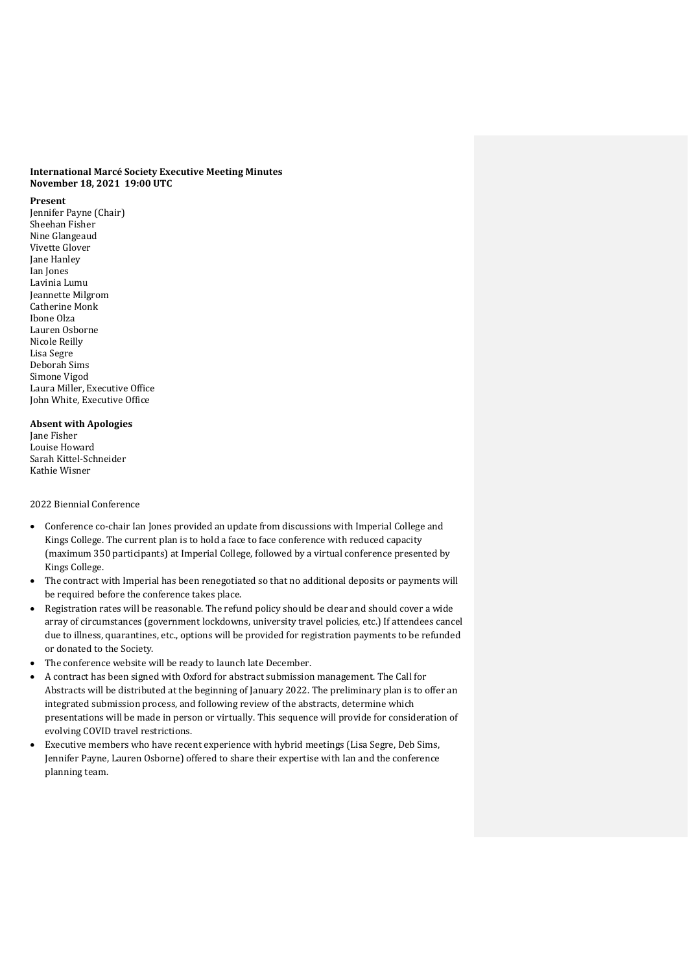## **International Marcé Society Executive Meeting Minutes November 18, 2021 19:00 UTC**

#### **Present**

Jennifer Payne (Chair) Sheehan Fisher Nine Glangeaud Vivette Glover Jane Hanley Ian Jones Lavinia Lumu Jeannette Milgrom Catherine Monk Ibone Olza Lauren Osborne Nicole Reilly Lisa Segre Deborah Sims Simone Vigod Laura Miller, Executive Office John White, Executive Office

# **Absent with Apologies**

Jane Fisher Louise Howard Sarah Kittel-Schneider Kathie Wisner

## 2022 Biennial Conference

- Conference co-chair Ian Jones provided an update from discussions with Imperial College and Kings College. The current plan is to hold a face to face conference with reduced capacity (maximum 350 participants) at Imperial College, followed by a virtual conference presented by Kings College.
- The contract with Imperial has been renegotiated so that no additional deposits or payments will be required before the conference takes place.
- Registration rates will be reasonable. The refund policy should be clear and should cover a wide array of circumstances (government lockdowns, university travel policies, etc.) If attendees cancel due to illness, quarantines, etc., options will be provided for registration payments to be refunded or donated to the Society.
- The conference website will be ready to launch late December.
- A contract has been signed with Oxford for abstract submission management. The Call for Abstracts will be distributed at the beginning of January 2022. The preliminary plan is to offer an integrated submission process, and following review of the abstracts, determine which presentations will be made in person or virtually. This sequence will provide for consideration of evolving COVID travel restrictions.
- Executive members who have recent experience with hybrid meetings (Lisa Segre, Deb Sims, Jennifer Payne, Lauren Osborne) offered to share their expertise with Ian and the conference planning team.